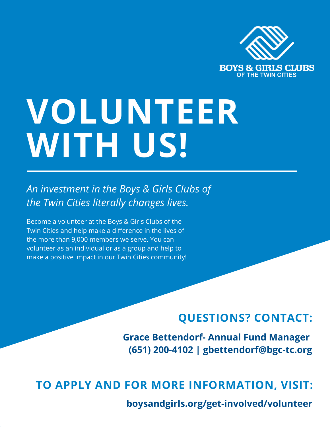

# **VOLUNTEER WITH US!**

*An investment in the Boys & Girls Clubs of the Twin Cities literally changes lives.*

Become a volunteer at the Boys & Girls Clubs of the Twin Cities and help make a difference in the lives of the more than 9,000 members we serve. You can volunteer as an individual or as a group and help to make a positive impact in our Twin Cities community!

# **QUESTIONS? CONTACT:**

**Grace Bettendorf- Annual Fund Manager (651) 200-4102 | gbettendorf@bgc-tc.org**

**TO APPLY AND FOR MORE INFORMATION, VISIT:**

**boysandgirls.org/get-involved/volunteer**